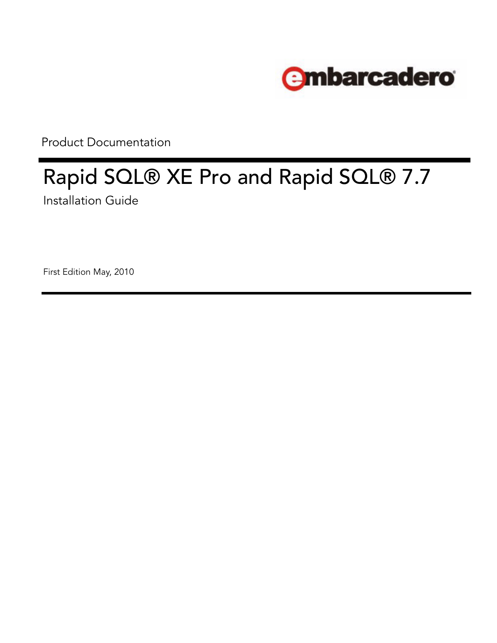

Product Documentation

# Rapid SQL® XE Pro and Rapid SQL® 7.7 Installation Guide

First Edition May, 2010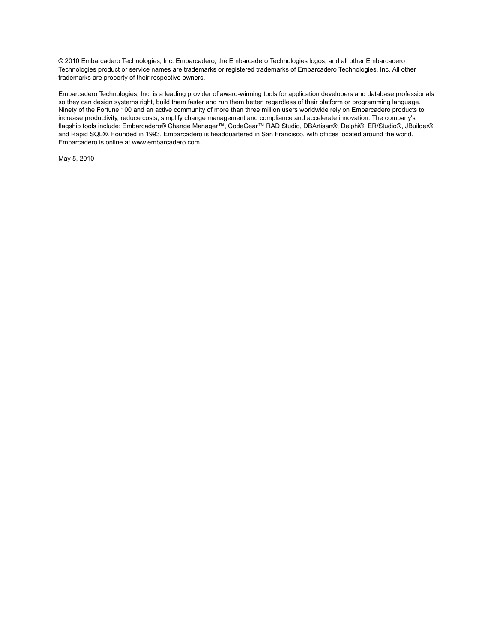© 2010 Embarcadero Technologies, Inc. Embarcadero, the Embarcadero Technologies logos, and all other Embarcadero Technologies product or service names are trademarks or registered trademarks of Embarcadero Technologies, Inc. All other trademarks are property of their respective owners.

Embarcadero Technologies, Inc. is a leading provider of award-winning tools for application developers and database professionals so they can design systems right, build them faster and run them better, regardless of their platform or programming language. Ninety of the Fortune 100 and an active community of more than three million users worldwide rely on Embarcadero products to increase productivity, reduce costs, simplify change management and compliance and accelerate innovation. The company's flagship tools include: Embarcadero® Change Manager™, CodeGear™ RAD Studio, DBArtisan®, Delphi®, ER/Studio®, JBuilder® and Rapid SQL®. Founded in 1993, Embarcadero is headquartered in San Francisco, with offices located around the world. Embarcadero is online at www.embarcadero.com.

May 5, 2010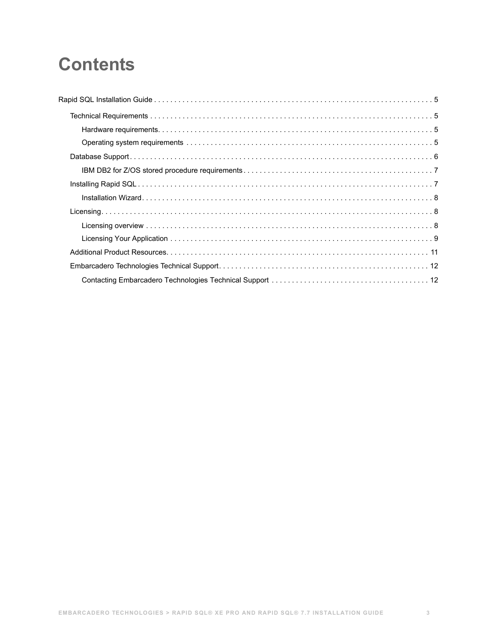# **Contents**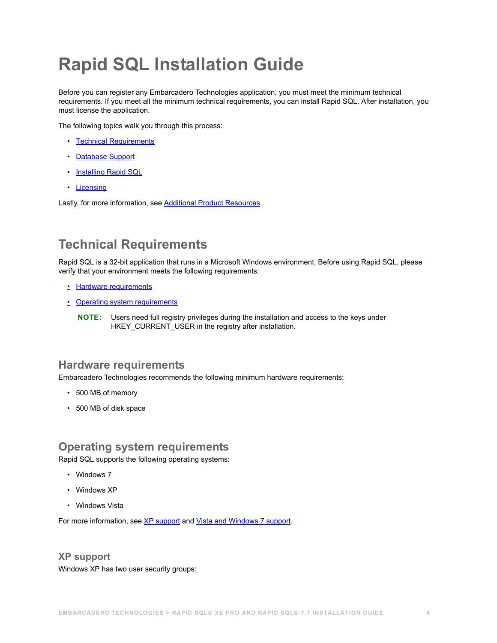# <span id="page-3-0"></span>**Rapid SQL Installation Guide**

Before you can register any Embarcadero Technologies application, you must meet the minimum technical requirements. If you meet all the minimum technical requirements, you can install Rapid SQL. After installation, you must license the application.

The following topics walk you through this process:

- [Technical Requirements](#page-3-4)
- [Database Support](#page-4-1)
- [Installing Rapid SQL](#page-5-0)
- [Licensing](#page-6-0)

Lastly, for more information, see [Additional Product Resources.](#page-9-0)

# <span id="page-3-4"></span>**Technical Requirements**

Rapid SQL is a 32-bit application that runs in a Microsoft Windows environment. Before using Rapid SQL, please verify that your environment meets the following requirements:

- [Hardware requirements](#page-3-1)
- [Operating system requirements](#page-3-2)
	- **NOTE:** Users need full registry privileges during the installation and access to the keys under HKEY\_CURRENT\_USER in the registry after installation.

# <span id="page-3-1"></span>**Hardware requirements**

Embarcadero Technologies recommends the following minimum hardware requirements:

- 500 MB of memory
- 500 MB of disk space

# <span id="page-3-2"></span>**Operating system requirements**

Rapid SQL supports the following operating systems:

- Windows 7
- Windows XP
- Windows Vista

For more information, see [XP support](#page-3-3) and [Vista and Windows 7 support](#page-4-0).

<span id="page-3-3"></span>**XP support**  Windows XP has two user security groups: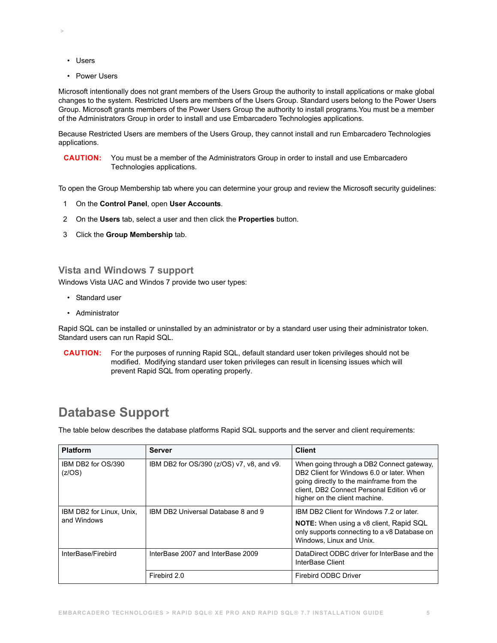• Users

 **>** 

• Power Users

Microsoft intentionally does not grant members of the Users Group the authority to install applications or make global changes to the system. Restricted Users are members of the Users Group. Standard users belong to the Power Users Group. Microsoft grants members of the Power Users Group the authority to install programs.You must be a member of the Administrators Group in order to install and use Embarcadero Technologies applications.

Because Restricted Users are members of the Users Group, they cannot install and run Embarcadero Technologies applications.

**CAUTION:** You must be a member of the Administrators Group in order to install and use Embarcadero Technologies applications.

To open the Group Membership tab where you can determine your group and review the Microsoft security guidelines:

- 1 On the **Control Panel**, open **User Accounts**.
- 2 On the **Users** tab, select a user and then click the **Properties** button.
- 3 Click the **Group Membership** tab.

## <span id="page-4-0"></span>**Vista and Windows 7 support**

Windows Vista UAC and Windos 7 provide two user types:

- Standard user
- Administrator

Rapid SQL can be installed or uninstalled by an administrator or by a standard user using their administrator token. Standard users can run Rapid SQL.

**CAUTION:** For the purposes of running Rapid SQL, default standard user token privileges should not be modified. Modifying standard user token privileges can result in licensing issues which will prevent Rapid SQL from operating properly.

# <span id="page-4-1"></span>**Database Support**

The table below describes the database platforms Rapid SQL supports and the server and client requirements:

| <b>Platform</b>                         | <b>Server</b>                             | <b>Client</b>                                                                                                                                                                                                     |
|-----------------------------------------|-------------------------------------------|-------------------------------------------------------------------------------------------------------------------------------------------------------------------------------------------------------------------|
| IBM DB2 for OS/390<br>(Z/OS)            | IBM DB2 for OS/390 (z/OS) v7, v8, and v9. | When going through a DB2 Connect gateway,<br>DB2 Client for Windows 6.0 or later. When<br>going directly to the mainframe from the<br>client, DB2 Connect Personal Edition v6 or<br>higher on the client machine. |
| IBM DB2 for Linux, Unix,<br>and Windows | IBM DB2 Universal Database 8 and 9        | IBM DB2 Client for Windows 7.2 or later.                                                                                                                                                                          |
|                                         |                                           | <b>NOTE:</b> When using a v8 client, Rapid SQL<br>only supports connecting to a v8 Database on<br>Windows, Linux and Unix.                                                                                        |
| InterBase/Firebird                      | InterBase 2007 and InterBase 2009         | DataDirect ODBC driver for InterBase and the<br>InterBase Client                                                                                                                                                  |
|                                         | Firebird 2.0                              | Firebird ODBC Driver                                                                                                                                                                                              |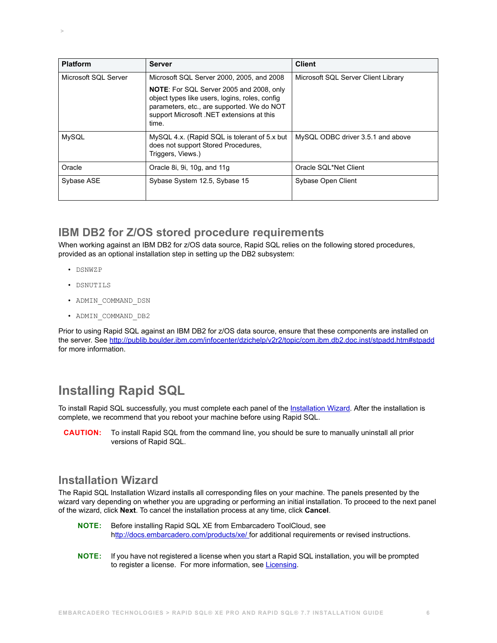| <b>Platform</b>      | Server                                                                                                                                                                                                | <b>Client</b>                       |
|----------------------|-------------------------------------------------------------------------------------------------------------------------------------------------------------------------------------------------------|-------------------------------------|
| Microsoft SQL Server | Microsoft SQL Server 2000, 2005, and 2008                                                                                                                                                             | Microsoft SQL Server Client Library |
|                      | <b>NOTE:</b> For SQL Server 2005 and 2008, only<br>object types like users, logins, roles, config<br>parameters, etc., are supported. We do NOT<br>support Microsoft .NET extensions at this<br>time. |                                     |
| <b>MySQL</b>         | MySQL 4.x. (Rapid SQL is tolerant of 5.x but<br>does not support Stored Procedures,<br>Triggers, Views.)                                                                                              | MySQL ODBC driver 3.5.1 and above   |
| Oracle               | Oracle 8i, 9i, 10g, and 11g                                                                                                                                                                           | Oracle SQL*Net Client               |
| Sybase ASE           | Sybase System 12.5, Sybase 15                                                                                                                                                                         | Sybase Open Client                  |

# **IBM DB2 for Z/OS stored procedure requirements**

When working against an IBM DB2 for z/OS data source, Rapid SQL relies on the following stored procedures, provided as an optional installation step in setting up the DB2 subsystem:

• DSNWZP

 **>** 

- DSNUTILS
- ADMIN\_COMMAND\_DSN
- ADMIN\_COMMAND\_DB2

Prior to using Rapid SQL against an IBM DB2 for z/OS data source, ensure that these components are installed on the server. See [http://publib.boulder.ibm.com/infocenter/dzichelp/v2r2/topic/com.ibm.db2.doc.inst/stpadd.htm#stpadd](http://publib.boulder.ibm.com/infocenter/dzichelp/v2r2/index.jsp?topic=/com.ibm.db2.doc.inst/stpadd.htm) for more information.

# <span id="page-5-0"></span>**Installing Rapid SQL**

To install Rapid SQL successfully, you must complete each panel of the **[Installation Wizard](#page-5-1)**. After the installation is complete, we recommend that you reboot your machine before using Rapid SQL.

**CAUTION:** To install Rapid SQL from the command line, you should be sure to manually uninstall all prior versions of Rapid SQL.

# <span id="page-5-1"></span>**Installation Wizard**

The Rapid SQL Installation Wizard installs all corresponding files on your machine. The panels presented by the wizard vary depending on whether you are upgrading or performing an initial installation. To proceed to the next panel of the wizard, click **Next**. To cancel the installation process at any time, click **Cancel**.

- **NOTE:** Before installing Rapid SQL XE from Embarcadero ToolCloud, see h[ttp://docs.embarcadero.com/products/xe/](http://docs.embarcadero.com/products/xe/) for additional requirements or revised instructions.
- **NOTE:** If you have not registered a license when you start a Rapid SQL installation, you will be prompted to register a license. For more information, see [Licensing.](#page-6-0)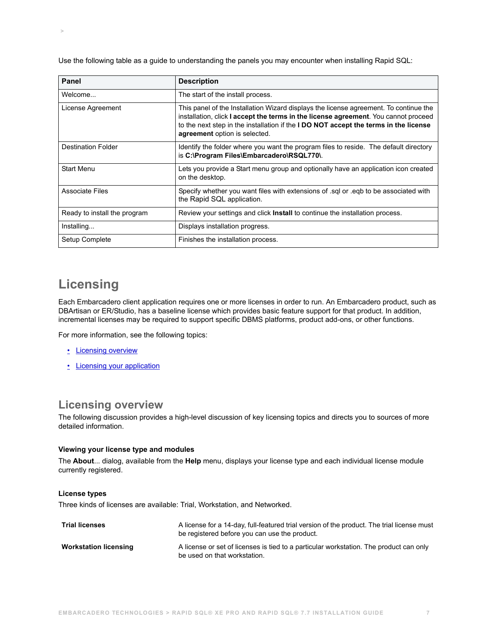Use the following table as a guide to understanding the panels you may encounter when installing Rapid SQL:

| <b>Panel</b>                 | <b>Description</b>                                                                                                                                                                                                                                                                                           |
|------------------------------|--------------------------------------------------------------------------------------------------------------------------------------------------------------------------------------------------------------------------------------------------------------------------------------------------------------|
| Welcome                      | The start of the install process.                                                                                                                                                                                                                                                                            |
| License Agreement            | This panel of the Installation Wizard displays the license agreement. To continue the<br>installation, click I accept the terms in the license agreement. You cannot proceed<br>to the next step in the installation if the <b>I DO NOT accept the terms in the license</b><br>agreement option is selected. |
| <b>Destination Folder</b>    | Identify the folder where you want the program files to reside. The default directory<br>is C:\Program Files\Embarcadero\RSQL770\.                                                                                                                                                                           |
| <b>Start Menu</b>            | Lets you provide a Start menu group and optionally have an application icon created<br>on the desktop.                                                                                                                                                                                                       |
| <b>Associate Files</b>       | Specify whether you want files with extensions of sql or eqp to be associated with<br>the Rapid SQL application.                                                                                                                                                                                             |
| Ready to install the program | Review your settings and click Install to continue the installation process.                                                                                                                                                                                                                                 |
| Installing                   | Displays installation progress.                                                                                                                                                                                                                                                                              |
| Setup Complete               | Finishes the installation process.                                                                                                                                                                                                                                                                           |

# <span id="page-6-0"></span>**Licensing**

 **>** 

Each Embarcadero client application requires one or more licenses in order to run. An Embarcadero product, such as DBArtisan or ER/Studio, has a baseline license which provides basic feature support for that product. In addition, incremental licenses may be required to support specific DBMS platforms, product add-ons, or other functions.

For more information, see the following topics:

- [Licensing overview](#page-6-1)
- [Licensing your application](#page-7-0)

# <span id="page-6-1"></span>**Licensing overview**

The following discussion provides a high-level discussion of key licensing topics and directs you to sources of more detailed information.

#### **Viewing your license type and modules**

The **About**... dialog, available from the **Help** menu, displays your license type and each individual license module currently registered.

#### **License types**

Three kinds of licenses are available: Trial, Workstation, and Networked.

| <b>Trial licenses</b>        | A license for a 14-day, full-featured trial version of the product. The trial license must<br>be registered before you can use the product. |
|------------------------------|---------------------------------------------------------------------------------------------------------------------------------------------|
| <b>Workstation licensing</b> | A license or set of licenses is tied to a particular workstation. The product can only<br>be used on that workstation.                      |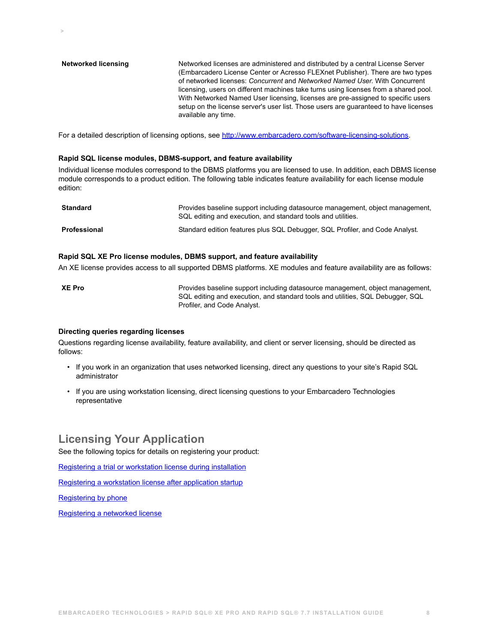**Networked licensing** Networked licenses are administered and distributed by a central License Server (Embarcadero License Center or Acresso FLEXnet Publisher). There are two types of networked licenses: *Concurrent* and *Networked Named User*. With Concurrent licensing, users on different machines take turns using licenses from a shared pool. With Networked Named User licensing, licenses are pre-assigned to specific users setup on the license server's user list. Those users are guaranteed to have licenses available any time.

For a detailed description of licensing options, see <http://www.embarcadero.com/software-licensing-solutions>.

#### **Rapid SQL license modules, DBMS-support, and feature availability**

Individual license modules correspond to the DBMS platforms you are licensed to use. In addition, each DBMS license module corresponds to a product edition. The following table indicates feature availability for each license module edition:

| <b>Standard</b>     | Provides baseline support including datasource management, object management,<br>SQL editing and execution, and standard tools and utilities. |
|---------------------|-----------------------------------------------------------------------------------------------------------------------------------------------|
| <b>Professional</b> | Standard edition features plus SQL Debugger, SQL Profiler, and Code Analyst.                                                                  |

#### **Rapid SQL XE Pro license modules, DBMS support, and feature availability**

An XE license provides access to all supported DBMS platforms. XE modules and feature availability are as follows:

**XE Pro Provides baseline support including datasource management, object management, object management,** SQL editing and execution, and standard tools and utilities, SQL Debugger, SQL Profiler, and Code Analyst.

#### **Directing queries regarding licenses**

 **>** 

Questions regarding license availability, feature availability, and client or server licensing, should be directed as follows:

- If you work in an organization that uses networked licensing, direct any questions to your site's Rapid SQL administrator
- If you are using workstation licensing, direct licensing questions to your Embarcadero Technologies representative

# <span id="page-7-0"></span>**Licensing Your Application**

See the following topics for details on registering your product:

[Registering a trial or workstation license during installation](#page-8-0)

[Registering a workstation license after application startup](#page-8-1)

[Registering by phone](#page-8-2)

[Registering a networked license](#page-9-2)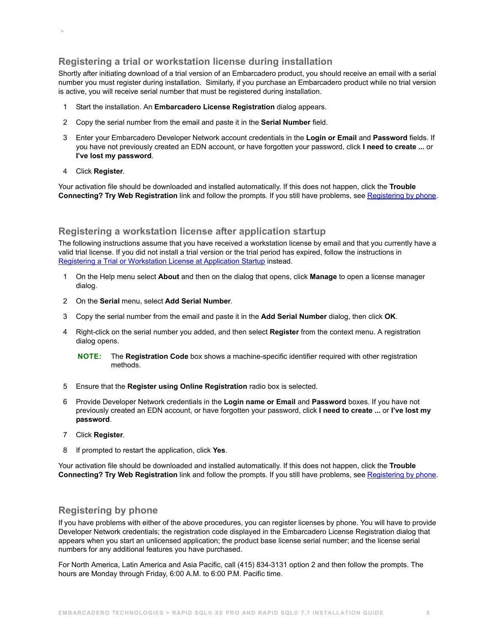# <span id="page-8-0"></span>**Registering a trial or workstation license during installation**

Shortly after initiating download of a trial version of an Embarcadero product, you should receive an email with a serial number you must register during installation. Similarly, if you purchase an Embarcadero product while no trial version is active, you will receive serial number that must be registered during installation.

- 1 Start the installation. An **Embarcadero License Registration** dialog appears.
- 2 Copy the serial number from the email and paste it in the **Serial Number** field.
- 3 Enter your Embarcadero Developer Network account credentials in the **Login or Email** and **Password** fields. If you have not previously created an EDN account, or have forgotten your password, click **I need to create ...** or **I've lost my password**.
- 4 Click **Register**.

 **>** 

Your activation file should be downloaded and installed automatically. If this does not happen, click the **Trouble Connecting? Try Web Registration** link and follow the prompts. If you still have problems, see [Registering by phone.](#page-8-2)

## <span id="page-8-1"></span>**Registering a workstation license after application startup**

The following instructions assume that you have received a workstation license by email and that you currently have a valid trial license. If you did not install a trial version or the trial period has expired, follow the instructions in [Registering a Trial or Workstation License at Application Startup](#page-8-0) instead.

- 1 On the Help menu select **About** and then on the dialog that opens, click **Manage** to open a license manager dialog.
- 2 On the **Serial** menu, select **Add Serial Number**.
- 3 Copy the serial number from the email and paste it in the **Add Serial Number** dialog, then click **OK**.
- 4 Right-click on the serial number you added, and then select **Register** from the context menu. A registration dialog opens.

**NOTE:** The **Registration Code** box shows a machine-specific identifier required with other registration methods.

- 5 Ensure that the **Register using Online Registration** radio box is selected.
- 6 Provide Developer Network credentials in the **Login name or Email** and **Password** boxes. If you have not previously created an EDN account, or have forgotten your password, click **I need to create ...** or **I've lost my password**.
- 7 Click **Register**.
- 8 If prompted to restart the application, click **Yes**.

Your activation file should be downloaded and installed automatically. If this does not happen, click the **Trouble Connecting? Try Web Registration** link and follow the prompts. If you still have problems, see [Registering by phone.](#page-8-2)

## <span id="page-8-2"></span>**Registering by phone**

If you have problems with either of the above procedures, you can register licenses by phone. You will have to provide Developer Network credentials; the registration code displayed in the Embarcadero License Registration dialog that appears when you start an unlicensed application; the product base license serial number; and the license serial numbers for any additional features you have purchased.

For North America, Latin America and Asia Pacific, call (415) 834-3131 option 2 and then follow the prompts. The hours are Monday through Friday, 6:00 A.M. to 6:00 P.M. Pacific time.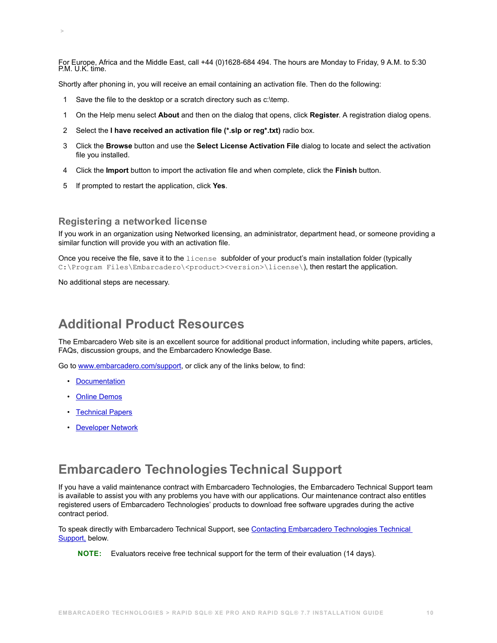For Europe, Africa and the Middle East, call +44 (0)1628-684 494. The hours are Monday to Friday, 9 A.M. to 5:30 P.M. U.K. time.

Shortly after phoning in, you will receive an email containing an activation file. Then do the following:

- 1 Save the file to the desktop or a scratch directory such as c:\temp.
- 1 On the Help menu select **About** and then on the dialog that opens, click **Register**. A registration dialog opens.
- 2 Select the **I have received an activation file (\*.slp or reg\*.txt)** radio box.
- 3 Click the **Browse** button and use the **Select License Activation File** dialog to locate and select the activation file you installed.
- 4 Click the **Import** button to import the activation file and when complete, click the **Finish** button.
- 5 If prompted to restart the application, click **Yes**.

#### <span id="page-9-2"></span>**Registering a networked license**

If you work in an organization using Networked licensing, an administrator, department head, or someone providing a similar function will provide you with an activation file.

Once you receive the file, save it to the license subfolder of your product's main installation folder (typically C:\Program Files\Embarcadero\<product><version>\license\), then restart the application.

No additional steps are necessary.

 **>** 

# <span id="page-9-0"></span>**Additional Product Resources**

The Embarcadero Web site is an excellent source for additional product information, including white papers, articles, FAQs, discussion groups, and the Embarcadero Knowledge Base.

Go to [www.embarcadero.com/support](http://www.embarcadero.com/support/), or click any of the links below, to find:

- [Documentation](http://docs.embarcadero.com)
- [Online Demos](http://www.embarcadero.com/resources/demos)
- [Technical Papers](http://www.embarcadero.com/resources/technical-papers)
- [Developer Network](http://edn.embarcadero.com)

# <span id="page-9-1"></span>**Embarcadero Technologies Technical Support**

If you have a valid maintenance contract with Embarcadero Technologies, the Embarcadero Technical Support team is available to assist you with any problems you have with our applications. Our maintenance contract also entitles registered users of Embarcadero Technologies' products to download free software upgrades during the active contract period.

To speak directly with Embarcadero Technical Support, see [Contacting Embarcadero Technologies Technical](#page-10-0)  [Support,](#page-10-0) below.

**NOTE:** Evaluators receive free technical support for the term of their evaluation (14 days).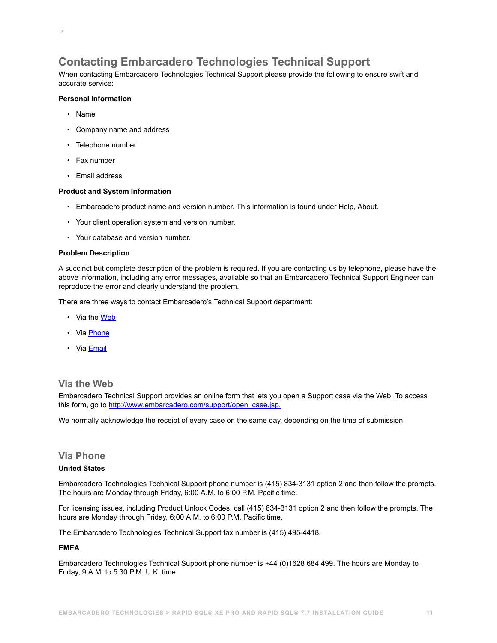# <span id="page-10-0"></span>**Contacting Embarcadero Technologies Technical Support**

When contacting Embarcadero Technologies Technical Support please provide the following to ensure swift and accurate service:

### **Personal Information**

• Name

 **>** 

- Company name and address
- Telephone number
- Fax number
- Email address

#### **Product and System Information**

- Embarcadero product name and version number. This information is found under Help, About.
- Your client operation system and version number.
- Your database and version number.

#### **Problem Description**

A succinct but complete description of the problem is required. If you are contacting us by telephone, please have the above information, including any error messages, available so that an Embarcadero Technical Support Engineer can reproduce the error and clearly understand the problem.

There are three ways to contact Embarcadero's Technical Support department:

- Via the [Web](#page-10-1)
- Via [Phone](#page-10-2)
- Via **[Email](#page-11-0)**

## <span id="page-10-1"></span>**Via the Web**

Embarcadero Technical Support provides an online form that lets you open a Support case via the Web. To access this form, go to [http://www.embarcadero.com/support/open\\_case.jsp.](http://www.embarcadero.com/support/open_case.jsp)

We normally acknowledge the receipt of every case on the same day, depending on the time of submission.

# <span id="page-10-2"></span>**Via Phone**

### **United States**

Embarcadero Technologies Technical Support phone number is (415) 834-3131 option 2 and then follow the prompts. The hours are Monday through Friday, 6:00 A.M. to 6:00 P.M. Pacific time.

For licensing issues, including Product Unlock Codes, call (415) 834-3131 option 2 and then follow the prompts. The hours are Monday through Friday, 6:00 A.M. to 6:00 P.M. Pacific time.

The Embarcadero Technologies Technical Support fax number is (415) 495-4418.

#### **EMEA**

Embarcadero Technologies Technical Support phone number is +44 (0)1628 684 499. The hours are Monday to Friday, 9 A.M. to 5:30 P.M. U.K. time.